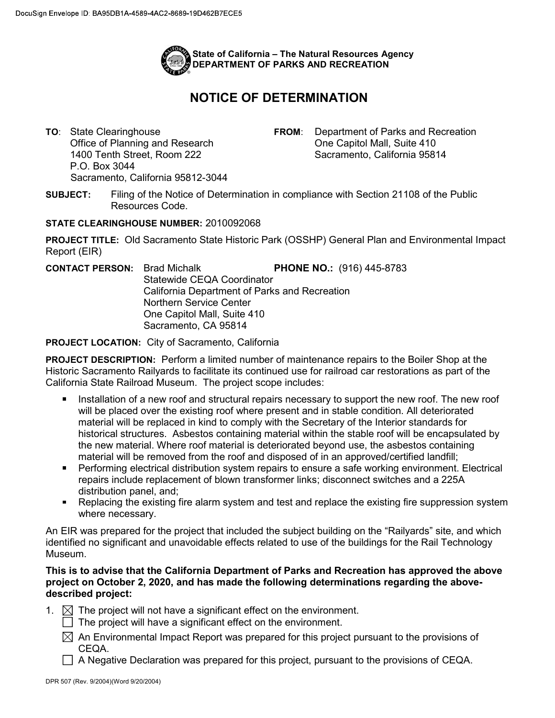

## NOTICE OF DETERMINATION

1400 Tenth Street, Room 222 P.O. Box 3044 Sacramento, California 95812-3044

TO: State Clearinghouse **FROM:** Department of Parks and Recreation Office of Planning and Research **One Capitol Mall**, Suite 410 Sacramento, California 95814

SUBJECT: Filing of the Notice of Determination in compliance with Section 21108 of the Public Resources Code.

## STATE CLEARINGHOUSE NUMBER: 2010092068

 PROJECT TITLE: Old Sacramento State Historic Park (OSSHP) General Plan and Environmental Impact Report (EIR)

 Statewide CEQA Coordinator California Department of Parks and Recreation Northern Service Center One Capitol Mall, Suite 410 Sacramento, CA 95814 CONTACT PERSON: Brad Michalk PHONE NO.: (916) 445-8783

PROJECT LOCATION: City of Sacramento, California

PROJECT DESCRIPTION: Perform a limited number of maintenance repairs to the Boiler Shop at the Historic Sacramento Railyards to facilitate its continued use for railroad car restorations as part of the California State Railroad Museum. The project scope includes:

- $\blacksquare$  Installation of a new roof and structural repairs necessary to support the new roof. The new roof will be placed over the existing roof where present and in stable condition. All deteriorated material will be replaced in kind to comply with the Secretary of the Interior standards for historical structures. Asbestos containing material within the stable roof will be encapsulated by the new material. Where roof material is deteriorated beyond use, the asbestos containing material will be removed from the roof and disposed of in an approved/certified landfill;
- Performing electrical distribution system repairs to ensure a safe working environment. Electrical repairs include replacement of blown transformer links; disconnect switches and a 225A distribution panel, and;
- Replacing the existing fire alarm system and test and replace the existing fire suppression system where necessary.

 An EIR was prepared for the project that included the subject building on the "Railyards" site, and which identified no significant and unavoidable effects related to use of the buildings for the Rail Technology Museum.

## This is to advise that the California Department of Parks and Recreation has approved the above project on October 2, 2020, and has made the following determinations regarding the abovedescribed project:

- 1.  $\boxtimes$  The project will not have a significant effect on the environment.
	- The project will have a significant effect on the environment.
	- An Environmental Impact Report was prepared for this project pursuant to the provisions of CEQA.
	- A Negative Declaration was prepared for this project, pursuant to the provisions of CEQA.